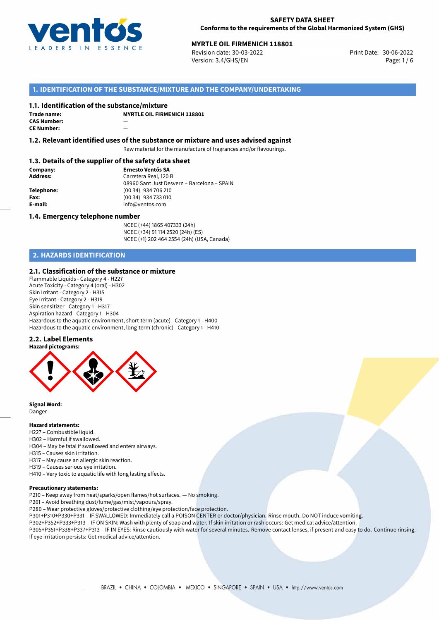

# **MYRTLE OIL FIRMENICH 118801**<br> **30-06-2022 Print Date: 30-06-2022 Print Date: 30-06-2022**

Revision date: 30-03-2022 Version: 3.4/GHS/EN Page: 1 / 6

# **1. IDENTIFICATION OF THE SUBSTANCE/MIXTURE AND THE COMPANY/UNDERTAKING**

#### **1.1. Identification of the substance/mixture**

| Trade name:        | м |
|--------------------|---|
| <b>CAS Number:</b> |   |
| <b>CE Number:</b>  |   |

**MYRTLE OIL FIRMENICH 118801**

**1.2. Relevant identified uses of the substance or mixture and uses advised against**

Raw material for the manufacture of fragrances and/or flavourings.

# **1.3. Details of the supplier of the safety data sheet**

**Company: Ernesto Ventós SA Address:** Carretera Real, 120 B 08960 Sant Just Desvern – Barcelona – SPAIN **Telephone:** (00 34) 934 706 210 **Fax:** (00 34) 934 733 010<br> **E-mail:** example the info@ventos.com **E-mail:** info@ventos.com

#### **1.4. Emergency telephone number**

NCEC (+44) 1865 407333 (24h) NCEC (+34) 91 114 2520 (24h) (ES) NCEC (+1) 202 464 2554 (24h) (USA, Canada)

# **2. HAZARDS IDENTIFICATION**

# **2.1. Classification of the substance or mixture**

Flammable Liquids - Category 4 - H227 Acute Toxicity - Category 4 (oral) - H302 Skin Irritant - Category 2 - H315 Eye Irritant - Category 2 - H319 Skin sensitizer - Category 1 - H317 Aspiration hazard - Category 1 - H304 Hazardous to the aquatic environment, short-term (acute) - Category 1 - H400 Hazardous to the aquatic environment, long-term (chronic) - Category 1 - H410

# **2.2. Label Elements**



**Signal Word:** Danger

#### **Hazard statements:**

- H227 Combustible liquid.
- H302 Harmful if swallowed.
- H304 May be fatal if swallowed and enters airways.
- H315 Causes skin irritation.
- H317 May cause an allergic skin reaction.
- H319 Causes serious eye irritation.
- H410 Very toxic to aquatic life with long lasting effects.

#### **Precautionary statements:**

P210 – Keep away from heat/sparks/open flames/hot surfaces. — No smoking.

- P261 Avoid breathing dust/fume/gas/mist/vapours/spray.
- P280 Wear protective gloves/protective clothing/eye protection/face protection.
- P301+P310+P330+P331 IF SWALLOWED: Immediately call a POISON CENTER or doctor/physician. Rinse mouth. Do NOT induce vomiting.
- P302+P352+P333+P313 IF ON SKIN: Wash with plenty of soap and water. If skin irritation or rash occurs: Get medical advice/attention. P305+P351+P338+P337+P313 – IF IN EYES: Rinse cautiously with water for several minutes. Remove contact lenses, if present and easy to do. Continue rinsing.

If eye irritation persists: Get medical advice/attention.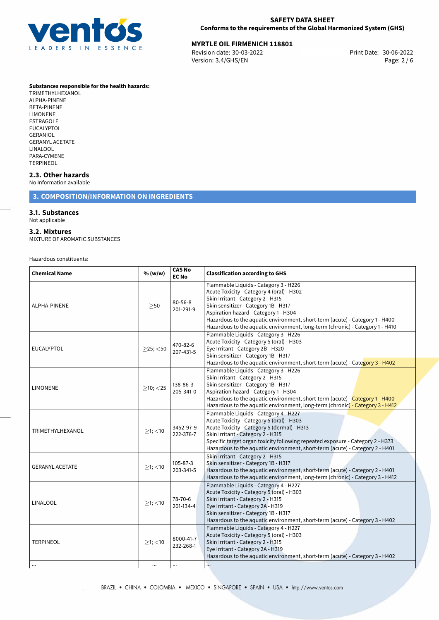

# **MYRTLE OIL FIRMENICH 118801**<br>Revision date: 30-03-2022 **Marsh 2008** Print Date: 30-06-2022

Revision date: 30-03-2022 Version: 3.4/GHS/EN Page: 2 / 6

#### **Substances responsible for the health hazards:**

TRIMETHYLHEXANOL ALPHA-PINENE BETA-PINENE LIMONENE ESTRAGOLE EUCALYPTOL **GERANIOL** GERANYL ACETATE LINALOOL PARA-CYMENE TERPINEOL

# **2.3. Other hazards**

No Information available

# **3. COMPOSITION/INFORMATION ON INGREDIENTS**

### **3.1. Substances**

Not applicable

### **3.2. Mixtures**

MIXTURE OF AROMATIC SUBSTANCES

Hazardous constituents:

| >50            | $80 - 56 - 8$<br>201-291-9 | Flammable Liquids - Category 3 - H226<br>Acute Toxicity - Category 4 (oral) - H302<br>Skin Irritant - Category 2 - H315<br>Skin sensitizer - Category 1B - H317<br>Aspiration hazard - Category 1 - H304<br>Hazardous to the aquatic environment, short-term (acute) - Category 1 - H400<br>Hazardous to the aquatic environment, long-term (chronic) - Category 1 - H410 |
|----------------|----------------------------|---------------------------------------------------------------------------------------------------------------------------------------------------------------------------------------------------------------------------------------------------------------------------------------------------------------------------------------------------------------------------|
| $>25$ ; $<$ 50 | 470-82-6<br>207-431-5      | Flammable Liquids - Category 3 - H226<br>Acute Toxicity - Category 5 (oral) - H303<br>Eye Irritant - Category 2B - H320<br>Skin sensitizer - Category 1B - H317<br>Hazardous to the aquatic environment, short-term (acute) - Category 3 - H402                                                                                                                           |
| $>10$ ; $<$ 25 | 138-86-3<br>205-341-0      | Flammable Liquids - Category 3 - H226<br>Skin Irritant - Category 2 - H315<br>Skin sensitizer - Category 1B - H317<br>Aspiration hazard - Category 1 - H304<br>Hazardous to the aquatic environment, short-term (acute) - Category 1 - H400<br>Hazardous to the aquatic environment, long-term (chronic) - Category 3 - H412                                              |
| $>1$ ; <10     | 3452-97-9<br>222-376-7     | Flammable Liquids - Category 4 - H227<br>Acute Toxicity - Category 5 (oral) - H303<br>Acute Toxicity - Category 5 (dermal) - H313<br>Skin Irritant - Category 2 - H315<br>Specific target organ toxicity following repeated exposure - Category 2 - H373<br>Hazardous to the aquatic environment, short-term (acute) - Category 2 - H401                                  |
| $>1$ ; <10     | 105-87-3<br>203-341-5      | Skin Irritant - Category 2 - H315<br>Skin sensitizer - Category 1B - H317<br>Hazardous to the aquatic environment, short-term (acute) - Category 2 - H401<br>Hazardous to the aquatic environment, long-term (chronic) - Category 3 - H412                                                                                                                                |
| $\geq$ 1; <10  | 78-70-6<br>201-134-4       | Flammable Liquids - Category 4 - H227<br>Acute Toxicity - Category 5 (oral) - H303<br>Skin Irritant - Category 2 - H315<br>Eye Irritant - Category 2A - H319<br>Skin sensitizer - Category 1B - H317<br>Hazardous to the aquatic environment, short-term (acute) - Category 3 - H402                                                                                      |
| $>1$ ; $<$ 10  | 8000-41-7<br>232-268-1     | Flammable Liquids - Category 4 - H227<br>Acute Toxicity - Category 5 (oral) - H303<br>Skin Irritant - Category 2 - H315<br>Eye Irritant - Category 2A - H319<br>Hazardous to the aquatic environment, short-term (acute) - Category 3 - H402<br>                                                                                                                          |
|                | $\cdots$                   | $\ldots$                                                                                                                                                                                                                                                                                                                                                                  |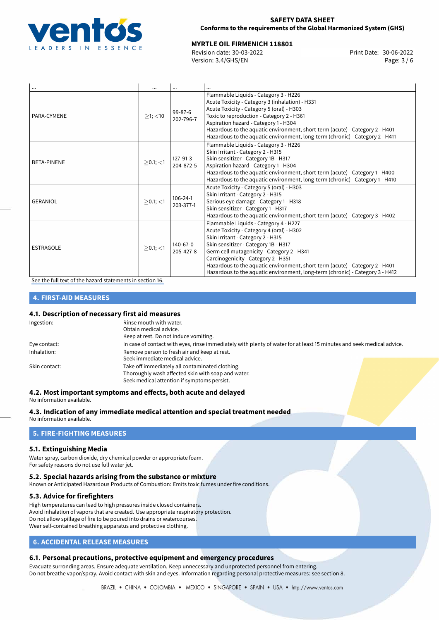

# **MYRTLE OIL FIRMENICH 118801**<br>
Revision date: 30-03-2022<br>
Print Date: 30-06-2022

Revision date: 30-03-2022 Version: 3.4/GHS/EN Page: 3 / 6

| $\cdots$           |                |                             | $\cdots$                                                                                                                                                                                                                                                                                                                                                                                                              |
|--------------------|----------------|-----------------------------|-----------------------------------------------------------------------------------------------------------------------------------------------------------------------------------------------------------------------------------------------------------------------------------------------------------------------------------------------------------------------------------------------------------------------|
| PARA-CYMENE        | $>1$ ; $<$ 10  | $99 - 87 - 6$<br>202-796-7  | Flammable Liquids - Category 3 - H226<br>Acute Toxicity - Category 3 (inhalation) - H331<br>Acute Toxicity - Category 5 (oral) - H303<br>Toxic to reproduction - Category 2 - H361<br>Aspiration hazard - Category 1 - H304<br>Hazardous to the aquatic environment, short-term (acute) - Category 2 - H401<br>Hazardous to the aquatic environment, long-term (chronic) - Category 2 - H411                          |
| <b>BETA-PINENE</b> | $>0.1$ ; $<$ 1 | 127-91-3<br>204-872-5       | Flammable Liquids - Category 3 - H226<br>Skin Irritant - Category 2 - H315<br>Skin sensitizer - Category 1B - H317<br>Aspiration hazard - Category 1 - H304<br>Hazardous to the aquatic environment, short-term (acute) - Category 1 - H400<br>Hazardous to the aquatic environment, long-term (chronic) - Category 1 - H410                                                                                          |
| <b>GERANIOL</b>    | $>0.1$ ; <1    | $106 - 24 - 1$<br>203-377-1 | Acute Toxicity - Category 5 (oral) - H303<br>Skin Irritant - Category 2 - H315<br>Serious eye damage - Category 1 - H318<br>Skin sensitizer - Category 1 - H317<br>Hazardous to the aquatic environment, short-term (acute) - Category 3 - H402                                                                                                                                                                       |
| <b>ESTRAGOLE</b>   | $\geq$ 0.1; <1 | 140-67-0<br>205-427-8       | Flammable Liquids - Category 4 - H227<br>Acute Toxicity - Category 4 (oral) - H302<br>Skin Irritant - Category 2 - H315<br>Skin sensitizer - Category 1B - H317<br>Germ cell mutagenicity - Category 2 - H341<br>Carcinogenicity - Category 2 - H351<br>Hazardous to the aquatic environment, short-term (acute) - Category 2 - H401<br>Hazardous to the aquatic environment, long-term (chronic) - Category 3 - H412 |

[See the full text of the hazard statements in section 16.](#page-5-0)

# **4. FIRST-AID MEASURES**

# **4.1. Description of necessary first aid measures**

| Ingestion:    | Rinse mouth with water.                                                                                               |  |  |
|---------------|-----------------------------------------------------------------------------------------------------------------------|--|--|
|               | Obtain medical advice.                                                                                                |  |  |
|               | Keep at rest. Do not induce vomiting.                                                                                 |  |  |
| Eye contact:  | In case of contact with eyes, rinse immediately with plenty of water for at least 15 minutes and seek medical advice. |  |  |
| Inhalation:   | Remove person to fresh air and keep at rest.                                                                          |  |  |
|               | Seek immediate medical advice.                                                                                        |  |  |
| Skin contact: | Take off immediately all contaminated clothing.                                                                       |  |  |
|               | Thoroughly wash affected skin with soap and water.                                                                    |  |  |
|               | Seek medical attention if symptoms persist.                                                                           |  |  |

# **4.2. Most important symptoms and effects, both acute and delayed**

No information available.

# **4.3. Indication of any immediate medical attention and special treatment needed**

No information available.

# **5. FIRE-FIGHTING MEASURES**

## **5.1. Extinguishing Media**

Water spray, carbon dioxide, dry chemical powder or appropriate foam. For safety reasons do not use full water jet.

## **5.2. Special hazards arising from the substance or mixture**

Known or Anticipated Hazardous Products of Combustion: Emits toxic fumes under fire conditions.

# **5.3. Advice for firefighters**

High temperatures can lead to high pressures inside closed containers. Avoid inhalation of vapors that are created. Use appropriate respiratory protection. Do not allow spillage of fire to be poured into drains or watercourses. Wear self-contained breathing apparatus and protective clothing.

# **6. ACCIDENTAL RELEASE MEASURES**

# **6.1. Personal precautions, protective equipment and emergency procedures**

Evacuate surronding areas. Ensure adequate ventilation. Keep unnecessary and unprotected personnel from entering. Do not breathe vapor/spray. Avoid contact with skin and eyes. Information regarding personal protective measures: see section 8.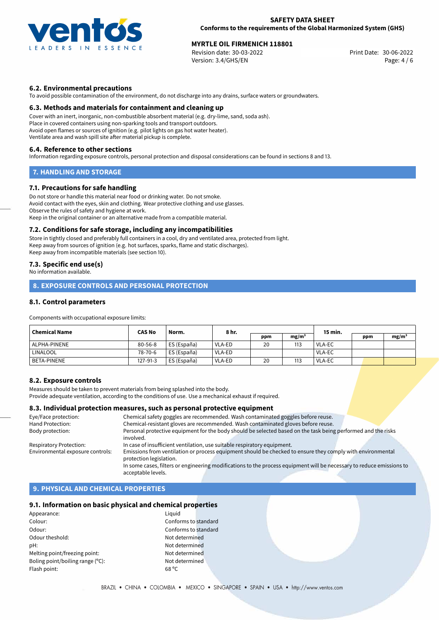

# **MYRTLE OIL FIRMENICH 118801**<br> **30-06-2022 Print Date: 30-06-2022 Print Date: 30-06-2022**

Revision date: 30-03-2022 Version: 3.4/GHS/EN Page: 4 / 6

## **6.2. Environmental precautions**

To avoid possible contamination of the environment, do not discharge into any drains, surface waters or groundwaters.

### **6.3. Methods and materials for containment and cleaning up**

Cover with an inert, inorganic, non-combustible absorbent material (e.g. dry-lime, sand, soda ash). Place in covered containers using non-sparking tools and transport outdoors. Avoid open flames or sources of ignition (e.g. pilot lights on gas hot water heater). Ventilate area and wash spill site after material pickup is complete.

#### **6.4. Reference to other sections**

Information regarding exposure controls, personal protection and disposal considerations can be found in sections 8 and 13.

## **7. HANDLING AND STORAGE**

### **7.1. Precautions for safe handling**

Do not store or handle this material near food or drinking water. Do not smoke. Avoid contact with the eyes, skin and clothing. Wear protective clothing and use glasses. Observe the rules of safety and hygiene at work. Keep in the original container or an alternative made from a compatible material.

#### **7.2. Conditions for safe storage, including any incompatibilities**

Store in tightly closed and preferably full containers in a cool, dry and ventilated area, protected from light. Keep away from sources of ignition (e.g. hot surfaces, sparks, flame and static discharges). Keep away from incompatible materials (see section 10).

# **7.3. Specific end use(s)**

No information available.

# **8. EXPOSURE CONTROLS AND PERSONAL PROTECTION**

# **8.1. Control parameters**

Components with occupational exposure limits:

| <b>Chemical Name</b> | <b>CAS No</b><br>Norm. |             | 8 hr.  |     |                   | 15 min.       |     |                   |
|----------------------|------------------------|-------------|--------|-----|-------------------|---------------|-----|-------------------|
|                      |                        |             |        | ppm | mg/m <sup>3</sup> |               | ppm | mg/m <sup>3</sup> |
| ALPHA-PINENE         | $80 - 56 - 8$          | ES (España) | VLA-ED | 20  | 113               | VLA-EC        |     |                   |
| LINALOOL             | 78-70-6                | ES (España) | VLA-ED |     |                   | <b>VLA-EC</b> |     |                   |
| BETA-PINENE          | 127-91-3               | ES (España) | VLA-ED | 20  | 113               | <b>VLA-EC</b> |     |                   |

## **8.2. Exposure controls**

Measures should be taken to prevent materials from being splashed into the body. Provide adequate ventilation, according to the conditions of use. Use a mechanical exhaust if required.

# **8.3. Individual protection measures, such as personal protective equipment**

| Eye/Face protection:             | Chemical safety goggles are recommended. Wash contaminated goggles before reuse.                                      |
|----------------------------------|-----------------------------------------------------------------------------------------------------------------------|
| Hand Protection:                 | Chemical-resistant gloves are recommended. Wash contaminated gloves before reuse.                                     |
| Body protection:                 | Personal protective equipment for the body should be selected based on the task being performed and the risks         |
|                                  | involved.                                                                                                             |
| Respiratory Protection:          | In case of insufficient ventilation, use suitable respiratory equipment.                                              |
| Environmental exposure controls: | Emissions from ventilation or process equipment should be checked to ensure they comply with environmental            |
|                                  | protection legislation.                                                                                               |
|                                  | In some cases, filters or engineering modifications to the process equipment will be necessary to reduce emissions to |
|                                  | acceptable levels.                                                                                                    |

# **9. PHYSICAL AND CHEMICAL PROPERTIES**

### **9.1. Information on basic physical and chemical properties**

Appearance: Liquid Colour: Conforms to standard Odour: Conforms to standard Odour theshold: Not determined pH: Not determined Melting point/freezing point: Not determined Boling point/boiling range (°C): Not determined Flash point: 68 ºC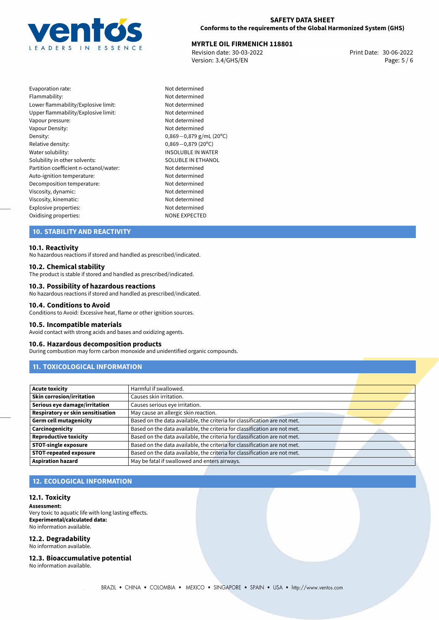

# **MYRTLE OIL FIRMENICH 118801**<br>
Revision date: 30-03-2022<br>
Print Date: 30-06-2022

Revision date: 30-03-2022 Version: 3.4/GHS/EN Page: 5 / 6

| Evaporation rate:                      |
|----------------------------------------|
| Flammability:                          |
| Lower flammability/Explosive limit:    |
| Upper flammability/Explosive limit:    |
| Vapour pressure:                       |
| Vapour Density:                        |
| Density:                               |
| Relative density:                      |
| Water solubility:                      |
| Solubility in other solvents:          |
| Partition coefficient n-octanol/water: |
| Auto-ignition temperature:             |
| Decomposition temperature:             |
| Viscosity, dynamic:                    |
| Viscosity, kinematic:                  |
| Explosive properties:                  |
| Oxidising properties:                  |

Not determined Not determined Not determined Not determined Not determined Not determined Density: 0,869*−*0,879 g/mL (20ºC) Relative density: 0,869*−*0,879 (20ºC) **INSOLUBLE IN WATER** SOLUBLE IN ETHANOL Not determined Not determined Not determined Not determined Viscosity, kinematic: Not determined Not determined NONE EXPECTED

# **10. STABILITY AND REACTIVITY**

### **10.1. Reactivity**

No hazardous reactions if stored and handled as prescribed/indicated.

### **10.2. Chemical stability**

The product is stable if stored and handled as prescribed/indicated.

### **10.3. Possibility of hazardous reactions**

No hazardous reactions if stored and handled as prescribed/indicated.

#### **10.4. Conditions to Avoid**

Conditions to Avoid: Excessive heat, flame or other ignition sources.

# **10.5. Incompatible materials**

Avoid contact with strong acids and bases and oxidizing agents.

#### **10.6. Hazardous decomposition products**

During combustion may form carbon monoxide and unidentified organic compounds.

# **11. TOXICOLOGICAL INFORMATION**

| Acute toxicity                           | Harmful if swallowed.                                                     |  |
|------------------------------------------|---------------------------------------------------------------------------|--|
| Skin corrosion/irritation                | Causes skin irritation.                                                   |  |
| Serious eye damage/irritation            | Causes serious eye irritation.                                            |  |
| <b>Respiratory or skin sensitisation</b> | May cause an allergic skin reaction.                                      |  |
| Germ cell mutagenicity                   | Based on the data available, the criteria for classification are not met. |  |
| Carcinogenicity                          | Based on the data available, the criteria for classification are not met. |  |
| Reproductive toxicity                    | Based on the data available, the criteria for classification are not met. |  |
| <b>STOT-single exposure</b>              | Based on the data available, the criteria for classification are not met. |  |
| <b>STOT-repeated exposure</b>            | Based on the data available, the criteria for classification are not met. |  |
| <b>Aspiration hazard</b>                 | May be fatal if swallowed and enters airways.                             |  |

# **12. ECOLOGICAL INFORMATION**

#### **12.1. Toxicity**

**Assessment:**

Very toxic to aquatic life with long lasting effects. **Experimental/calculated data:** No information available.

#### **12.2. Degradability**

No information available.

**12.3. Bioaccumulative potential**

No information available.